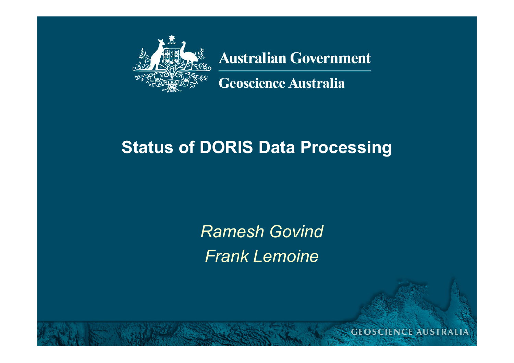

Insert presentation title here, insert date

**Australian Government** 

**Geoscience Australia** 

### **Status of DORIS Data Processing**

*Ramesh GovindFrank Lemoine*

**GEOSCIENCE AUSTRALIA**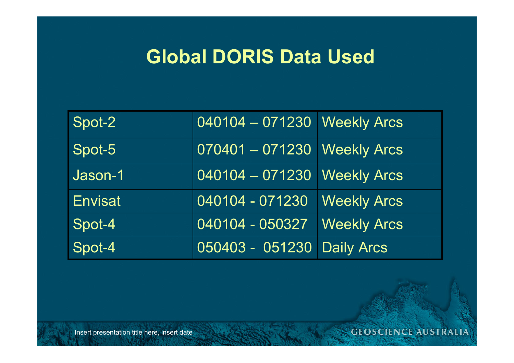# **Global DORIS Data Used**

| Spot-2         | 040104 - 071230 Weekly Arcs |                    |
|----------------|-----------------------------|--------------------|
| Spot-5         | 070401 - 071230 Weekly Arcs |                    |
| Jason-1        | 040104 - 071230 Weekly Arcs |                    |
| <b>Envisat</b> | 040104 - 071230             | <b>Weekly Arcs</b> |
| Spot-4         | 040104 - 050327             | <b>Weekly Arcs</b> |
| Spot-4         | 050403 - 051230 Daily Arcs  |                    |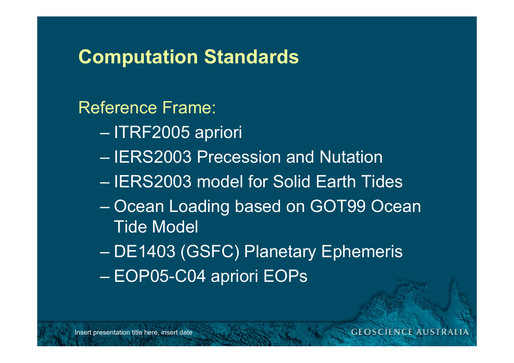Reference Frame:

- ITRF2005 apriori
- IERS2003 Precession and Nutation
- IERS2003 model for Solid Earth Tides
- $\mathcal{L}_{\mathcal{A}}$  , where  $\mathcal{L}_{\mathcal{A}}$  is the set of the set of the set of the set of the set of the set of the set of the set of the set of the set of the set of the set of the set of the set of the set of the set of the – Ocean Loading based on GOT99 Ocean Tide Model
- DE1403 (GSFC) Planetary Ephemeris
- EOP05-C04 apriori EOPs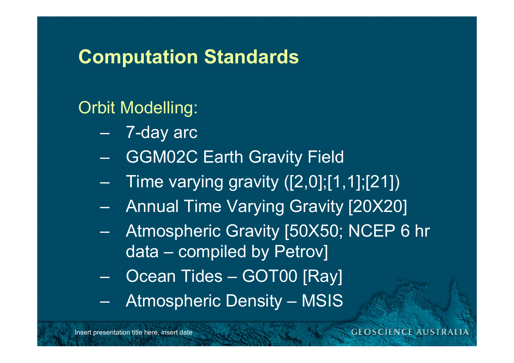### Orbit Modelling:

- 7-day arc
- GGM02C Earth Gravity Field
- $\mathcal{L}_{\mathcal{A}}$  , where  $\mathcal{L}_{\mathcal{A}}$  is the set of the set of the set of the set of the set of the set of the set of the set of the set of the set of the set of the set of the set of the set of the set of the set of the Time varying gravity ([2,0];[1,1];[21])
- $\mathcal{L}_{\mathcal{A}}$  , where  $\mathcal{L}_{\mathcal{A}}$  is the set of the set of the set of the set of the set of the set of the set of the set of the set of the set of the set of the set of the set of the set of the set of the set of the Annual Time Varying Gravity [20X20]
- $\mathcal{L}_{\mathcal{A}}$  , where  $\mathcal{L}_{\mathcal{A}}$  is the set of the set of the set of the set of the set of the set of the set of the set of the set of the set of the set of the set of the set of the set of the set of the set of the Atmospheric Gravity [50X50; NCEP 6 hr data – compiled by Petrov]
- Ocean Tides GOT00 [Ray]
- Atmospheric Density MSIS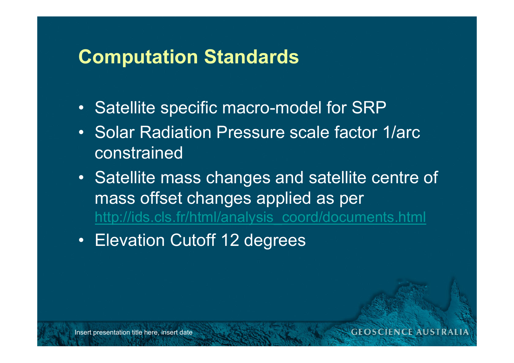- Satellite specific macro-model for SRP
- Solar Radiation Pressure scale factor 1/arc constrained
- Satellite mass changes and satellite centre of mass offset changes applied as per [http://ids.cls.fr/html/analysis\\_coord/documents.html](http://ids.cls.fr/html/analysis_coord/documents.html)
- Elevation Cutoff 12 degrees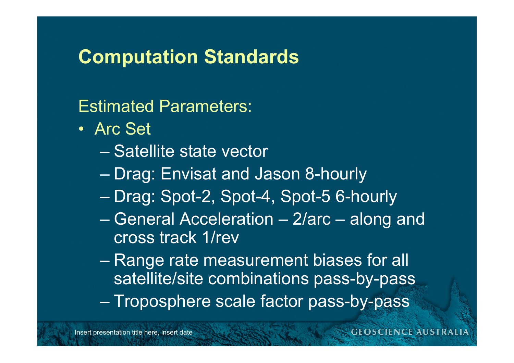Estimated Parameters:

- Arc Set
	- Satellite state vector
	- $\mathcal{L}_{\mathcal{A}}$  , where  $\mathcal{L}_{\mathcal{A}}$  is the set of the set of the set of the set of the set of the set of the set of the set of the set of the set of the set of the set of the set of the set of the set of the set of the – Drag: Envisat and Jason 8-hourly
	- Drag: Spot-2, Spot-4, Spot-5 6-hourly
	- General Acceleration 2/arc along and cross track 1/rev
	- – Range rate measurement biases for all satellite/site combinations pass-by-pass
	- $\mathcal{L}_{\mathcal{A}}$  , where  $\mathcal{L}_{\mathcal{A}}$  is the set of the set of the set of the set of the set of the set of the set of the set of the set of the set of the set of the set of the set of the set of the set of the set of the – Troposphere scale factor pass-by-pass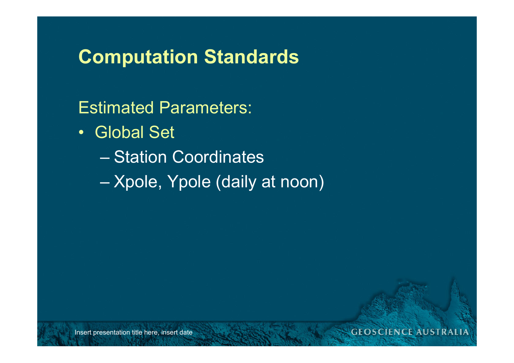Estimated Parameters:

- Global Set
	- Station Coordinates

 $\mathcal{L}_{\mathcal{A}}$  , where  $\mathcal{L}_{\mathcal{A}}$  is the set of the set of the set of the set of the set of the set of the set of the set of the set of the set of the set of the set of the set of the set of the set of the set of the – Xpole, Ypole (daily at noon)

#### **GEOSCIENCE AUSTRALIA**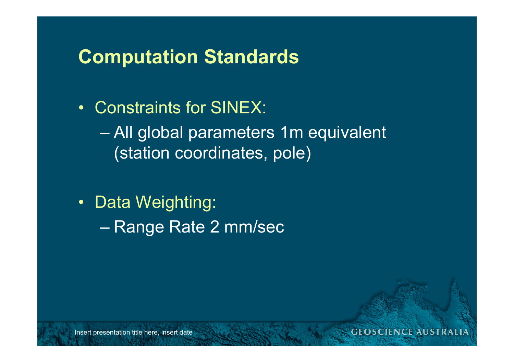• Constraints for SINEX:

 All global parameters 1m equivalent (station coordinates, pole)

- Data Weighting:
	- –– Range Rate 2 mm/sec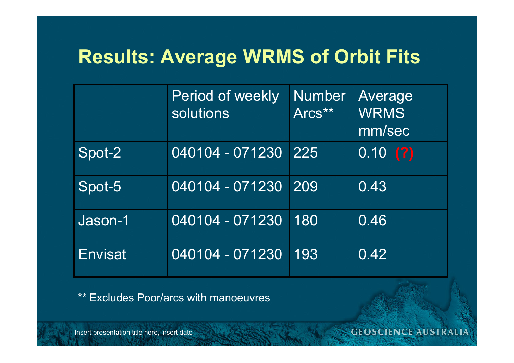# **Results: Average WRMS of Orbit Fits**

|                | <b>Period of weekly</b><br>solutions | <b>Number</b><br>Arcs** | Average<br><b>WRMS</b><br>mm/sec |
|----------------|--------------------------------------|-------------------------|----------------------------------|
| Spot-2         | 040104 - 071230                      | 225                     | [0.10(?)]                        |
| Spot-5         | 040104 - 071230                      | 209                     | 0.43                             |
| Jason-1        | 040104 - 071230                      | 180                     | 0.46                             |
| <b>Envisat</b> | 040104 - 071230                      | 193                     | 0.42                             |

\*\* Excludes Poor/arcs with manoeuvres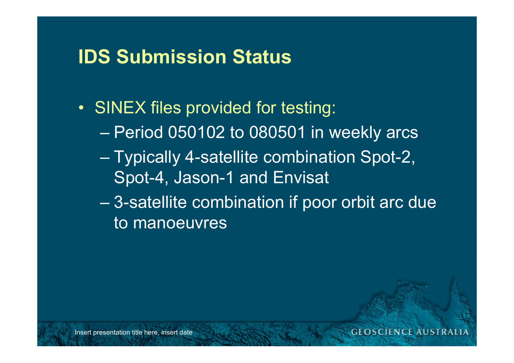# **IDS Submission Status**

- SINEX files provided for testing:
	- Period 050102 to 080501 in weekly arcs
	- Typically 4-satellite combination Spot-2, Spot-4, Jason-1 and Envisat
	- $\mathcal{L}_{\mathcal{A}}$  , where  $\mathcal{L}_{\mathcal{A}}$  is the set of the set of the set of the set of the set of the set of the set of the set of the set of the set of the set of the set of the set of the set of the set of the set of the 3-satellite combination if poor orbit arc due to manoeuvres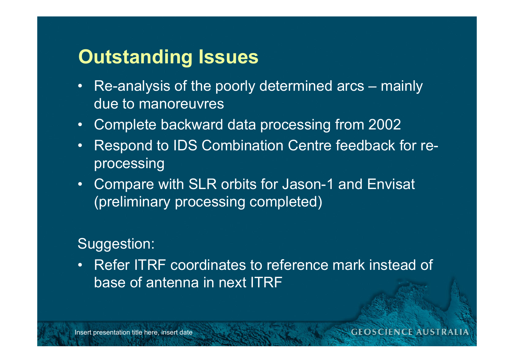## **Outstanding Issues**

- Re-analysis of the poorly determined arcs mainly due to manoreuvres
- Complete backward data processing from 2002
- $\bullet$  Respond to IDS Combination Centre feedback for reprocessing
- Compare with SLR orbits for Jason-1 and Envisat (preliminary processing completed)

### Suggestion:

• Refer ITRF coordinates to reference mark instead of base of antenna in next ITRF